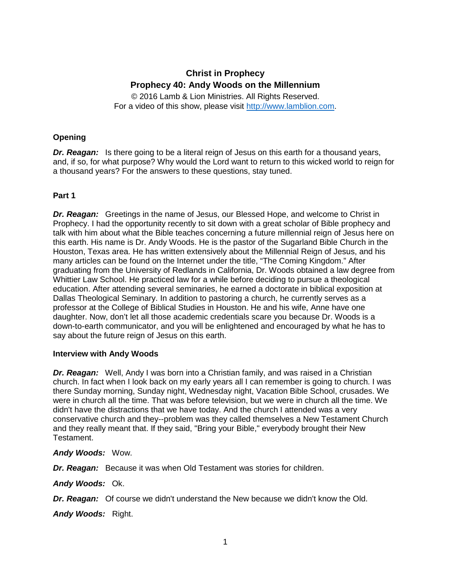# **Christ in Prophecy Prophecy 40: Andy Woods on the Millennium**

© 2016 Lamb & Lion Ministries. All Rights Reserved. For a video of this show, please visit [http://www.lamblion.com.](http://www.lamblion.com/)

# **Opening**

*Dr. Reagan:* Is there going to be a literal reign of Jesus on this earth for a thousand years, and, if so, for what purpose? Why would the Lord want to return to this wicked world to reign for a thousand years? For the answers to these questions, stay tuned.

# **Part 1**

*Dr. Reagan:* Greetings in the name of Jesus, our Blessed Hope, and welcome to Christ in Prophecy. I had the opportunity recently to sit down with a great scholar of Bible prophecy and talk with him about what the Bible teaches concerning a future millennial reign of Jesus here on this earth. His name is Dr. Andy Woods. He is the pastor of the Sugarland Bible Church in the Houston, Texas area. He has written extensively about the Millennial Reign of Jesus, and his many articles can be found on the Internet under the title, "The Coming Kingdom." After graduating from the University of Redlands in California, Dr. Woods obtained a law degree from Whittier Law School. He practiced law for a while before deciding to pursue a theological education. After attending several seminaries, he earned a doctorate in biblical exposition at Dallas Theological Seminary. In addition to pastoring a church, he currently serves as a professor at the College of Biblical Studies in Houston. He and his wife, Anne have one daughter. Now, don't let all those academic credentials scare you because Dr. Woods is a down-to-earth communicator, and you will be enlightened and encouraged by what he has to say about the future reign of Jesus on this earth.

# **Interview with Andy Woods**

*Dr. Reagan:* Well, Andy I was born into a Christian family, and was raised in a Christian church. In fact when I look back on my early years all I can remember is going to church. I was there Sunday morning, Sunday night, Wednesday night, Vacation Bible School, crusades. We were in church all the time. That was before television, but we were in church all the time. We didn't have the distractions that we have today. And the church I attended was a very conservative church and they--problem was they called themselves a New Testament Church and they really meant that. If they said, "Bring your Bible," everybody brought their New Testament.

# *Andy Woods:* Wow.

*Dr. Reagan:* Because it was when Old Testament was stories for children.

*Andy Woods:* Ok.

*Dr. Reagan:* Of course we didn't understand the New because we didn't know the Old.

*Andy Woods:* Right.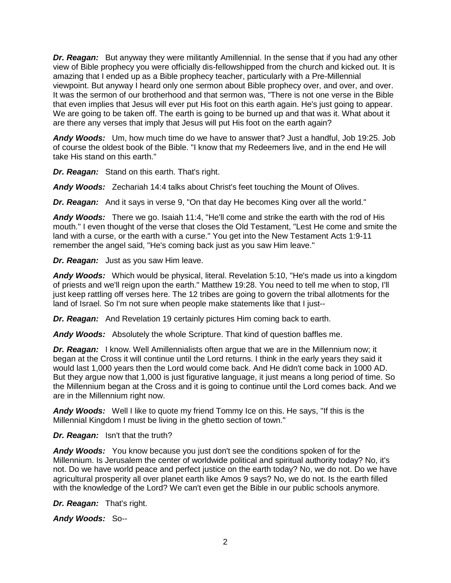*Dr. Reagan:* But anyway they were militantly Amillennial. In the sense that if you had any other view of Bible prophecy you were officially dis-fellowshipped from the church and kicked out. It is amazing that I ended up as a Bible prophecy teacher, particularly with a Pre-Millennial viewpoint. But anyway I heard only one sermon about Bible prophecy over, and over, and over. It was the sermon of our brotherhood and that sermon was, "There is not one verse in the Bible that even implies that Jesus will ever put His foot on this earth again. He's just going to appear. We are going to be taken off. The earth is going to be burned up and that was it. What about it are there any verses that imply that Jesus will put His foot on the earth again?

*Andy Woods:* Um, how much time do we have to answer that? Just a handful, Job 19:25. Job of course the oldest book of the Bible. "I know that my Redeemers live, and in the end He will take His stand on this earth."

*Dr. Reagan:* Stand on this earth. That's right.

*Andy Woods:* Zechariah 14:4 talks about Christ's feet touching the Mount of Olives.

**Dr. Reagan:** And it says in verse 9, "On that day He becomes King over all the world."

*Andy Woods:* There we go. Isaiah 11:4, "He'll come and strike the earth with the rod of His mouth." I even thought of the verse that closes the Old Testament, "Lest He come and smite the land with a curse, or the earth with a curse." You get into the New Testament Acts 1:9-11 remember the angel said, "He's coming back just as you saw Him leave."

*Dr. Reagan:* Just as you saw Him leave.

*Andy Woods:* Which would be physical, literal. Revelation 5:10, "He's made us into a kingdom of priests and we'll reign upon the earth." Matthew 19:28. You need to tell me when to stop, I'll just keep rattling off verses here. The 12 tribes are going to govern the tribal allotments for the land of Israel. So I'm not sure when people make statements like that I just--

*Dr. Reagan:* And Revelation 19 certainly pictures Him coming back to earth.

*Andy Woods:* Absolutely the whole Scripture. That kind of question baffles me.

*Dr. Reagan:* I know. Well Amillennialists often argue that we are in the Millennium now; it began at the Cross it will continue until the Lord returns. I think in the early years they said it would last 1,000 years then the Lord would come back. And He didn't come back in 1000 AD. But they argue now that 1,000 is just figurative language, it just means a long period of time. So the Millennium began at the Cross and it is going to continue until the Lord comes back. And we are in the Millennium right now.

*Andy Woods:* Well I like to quote my friend Tommy Ice on this. He says, "If this is the Millennial Kingdom I must be living in the ghetto section of town."

*Dr. Reagan:* Isn't that the truth?

*Andy Woods:* You know because you just don't see the conditions spoken of for the Millennium. Is Jerusalem the center of worldwide political and spiritual authority today? No, it's not. Do we have world peace and perfect justice on the earth today? No, we do not. Do we have agricultural prosperity all over planet earth like Amos 9 says? No, we do not. Is the earth filled with the knowledge of the Lord? We can't even get the Bible in our public schools anymore.

*Dr. Reagan:* That's right.

*Andy Woods:* So--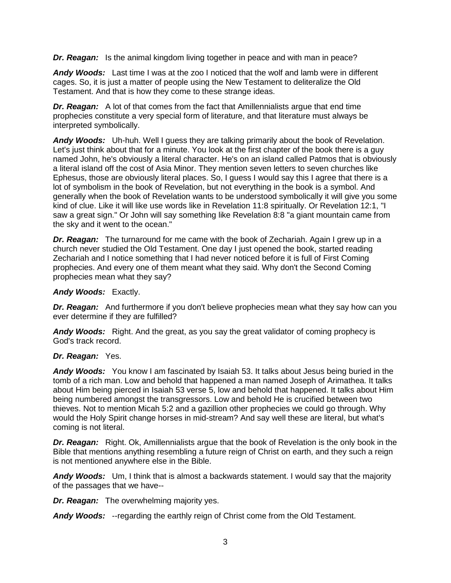*Dr. Reagan:* Is the animal kingdom living together in peace and with man in peace?

*Andy Woods:* Last time I was at the zoo I noticed that the wolf and lamb were in different cages. So, it is just a matter of people using the New Testament to deliteralize the Old Testament. And that is how they come to these strange ideas.

*Dr. Reagan:* A lot of that comes from the fact that Amillennialists argue that end time prophecies constitute a very special form of literature, and that literature must always be interpreted symbolically.

*Andy Woods:* Uh-huh. Well I guess they are talking primarily about the book of Revelation. Let's just think about that for a minute. You look at the first chapter of the book there is a guy named John, he's obviously a literal character. He's on an island called Patmos that is obviously a literal island off the cost of Asia Minor. They mention seven letters to seven churches like Ephesus, those are obviously literal places. So, I guess I would say this I agree that there is a lot of symbolism in the book of Revelation, but not everything in the book is a symbol. And generally when the book of Revelation wants to be understood symbolically it will give you some kind of clue. Like it will like use words like in Revelation 11:8 spiritually. Or Revelation 12:1, "I saw a great sign." Or John will say something like Revelation 8:8 "a giant mountain came from the sky and it went to the ocean."

*Dr. Reagan:* The turnaround for me came with the book of Zechariah. Again I grew up in a church never studied the Old Testament. One day I just opened the book, started reading Zechariah and I notice something that I had never noticed before it is full of First Coming prophecies. And every one of them meant what they said. Why don't the Second Coming prophecies mean what they say?

#### *Andy Woods:* Exactly.

*Dr. Reagan:* And furthermore if you don't believe prophecies mean what they say how can you ever determine if they are fulfilled?

*Andy Woods:* Right. And the great, as you say the great validator of coming prophecy is God's track record.

#### *Dr. Reagan:* Yes.

*Andy Woods:* You know I am fascinated by Isaiah 53. It talks about Jesus being buried in the tomb of a rich man. Low and behold that happened a man named Joseph of Arimathea. It talks about Him being pierced in Isaiah 53 verse 5, low and behold that happened. It talks about Him being numbered amongst the transgressors. Low and behold He is crucified between two thieves. Not to mention Micah 5:2 and a gazillion other prophecies we could go through. Why would the Holy Spirit change horses in mid-stream? And say well these are literal, but what's coming is not literal.

*Dr. Reagan:* Right. Ok, Amillennialists argue that the book of Revelation is the only book in the Bible that mentions anything resembling a future reign of Christ on earth, and they such a reign is not mentioned anywhere else in the Bible.

*Andy Woods:* Um, I think that is almost a backwards statement. I would say that the majority of the passages that we have--

*Dr. Reagan:* The overwhelming majority yes.

*Andy Woods:* --regarding the earthly reign of Christ come from the Old Testament.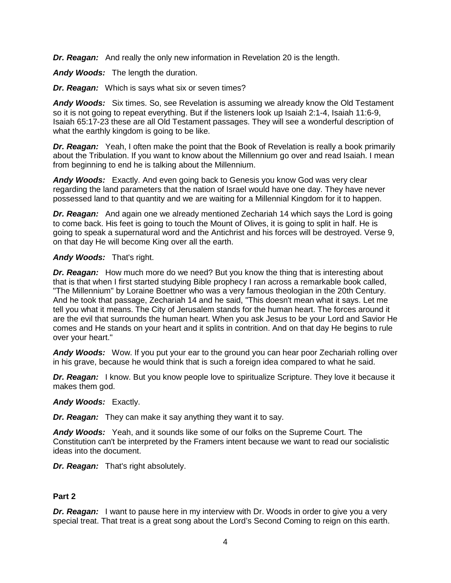*Dr. Reagan:* And really the only new information in Revelation 20 is the length.

*Andy Woods:* The length the duration.

*Dr. Reagan:* Which is says what six or seven times?

*Andy Woods:* Six times. So, see Revelation is assuming we already know the Old Testament so it is not going to repeat everything. But if the listeners look up Isaiah 2:1-4, Isaiah 11:6-9, Isaiah 65:17-23 these are all Old Testament passages. They will see a wonderful description of what the earthly kingdom is going to be like.

*Dr. Reagan:* Yeah, I often make the point that the Book of Revelation is really a book primarily about the Tribulation. If you want to know about the Millennium go over and read Isaiah. I mean from beginning to end he is talking about the Millennium.

*Andy Woods:* Exactly. And even going back to Genesis you know God was very clear regarding the land parameters that the nation of Israel would have one day. They have never possessed land to that quantity and we are waiting for a Millennial Kingdom for it to happen.

**Dr. Reagan:** And again one we already mentioned Zechariah 14 which says the Lord is going to come back. His feet is going to touch the Mount of Olives, it is going to split in half. He is going to speak a supernatural word and the Antichrist and his forces will be destroyed. Verse 9, on that day He will become King over all the earth.

# *Andy Woods:* That's right.

*Dr. Reagan:* How much more do we need? But you know the thing that is interesting about that is that when I first started studying Bible prophecy I ran across a remarkable book called, "The Millennium" by Loraine Boettner who was a very famous theologian in the 20th Century. And he took that passage, Zechariah 14 and he said, "This doesn't mean what it says. Let me tell you what it means. The City of Jerusalem stands for the human heart. The forces around it are the evil that surrounds the human heart. When you ask Jesus to be your Lord and Savior He comes and He stands on your heart and it splits in contrition. And on that day He begins to rule over your heart."

*Andy Woods:* Wow. If you put your ear to the ground you can hear poor Zechariah rolling over in his grave, because he would think that is such a foreign idea compared to what he said.

*Dr. Reagan:* I know. But you know people love to spiritualize Scripture. They love it because it makes them god.

#### *Andy Woods:* Exactly.

*Dr. Reagan:* They can make it say anything they want it to say.

*Andy Woods:* Yeah, and it sounds like some of our folks on the Supreme Court. The Constitution can't be interpreted by the Framers intent because we want to read our socialistic ideas into the document.

*Dr. Reagan:* That's right absolutely.

# **Part 2**

*Dr. Reagan:* I want to pause here in my interview with Dr. Woods in order to give you a very special treat. That treat is a great song about the Lord's Second Coming to reign on this earth.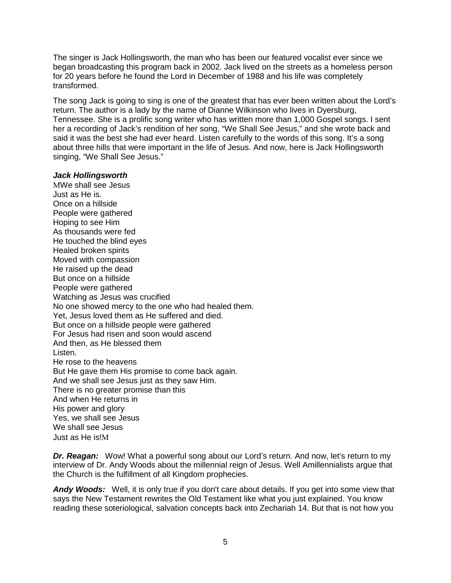The singer is Jack Hollingsworth, the man who has been our featured vocalist ever since we began broadcasting this program back in 2002. Jack lived on the streets as a homeless person for 20 years before he found the Lord in December of 1988 and his life was completely transformed.

The song Jack is going to sing is one of the greatest that has ever been written about the Lord's return. The author is a lady by the name of Dianne Wilkinson who lives in Dyersburg, Tennessee. She is a prolific song writer who has written more than 1,000 Gospel songs. I sent her a recording of Jack's rendition of her song, "We Shall See Jesus," and she wrote back and said it was the best she had ever heard. Listen carefully to the words of this song. It's a song about three hills that were important in the life of Jesus. And now, here is Jack Hollingsworth singing, "We Shall See Jesus."

#### *Jack Hollingsworth*

ΜWe shall see Jesus Just as He is. Once on a hillside People were gathered Hoping to see Him As thousands were fed He touched the blind eyes Healed broken spirits Moved with compassion He raised up the dead But once on a hillside People were gathered Watching as Jesus was crucified No one showed mercy to the one who had healed them. Yet, Jesus loved them as He suffered and died. But once on a hillside people were gathered For Jesus had risen and soon would ascend And then, as He blessed them Listen. He rose to the heavens But He gave them His promise to come back again. And we shall see Jesus just as they saw Him. There is no greater promise than this And when He returns in His power and glory Yes, we shall see Jesus We shall see Jesus Just as He is!Μ

*Dr. Reagan:* Wow! What a powerful song about our Lord's return. And now, let's return to my interview of Dr. Andy Woods about the millennial reign of Jesus. Well Amillennialists argue that the Church is the fulfillment of all Kingdom prophecies.

*Andy Woods:* Well, it is only true if you don't care about details. If you get into some view that says the New Testament rewrites the Old Testament like what you just explained. You know reading these soteriological, salvation concepts back into Zechariah 14. But that is not how you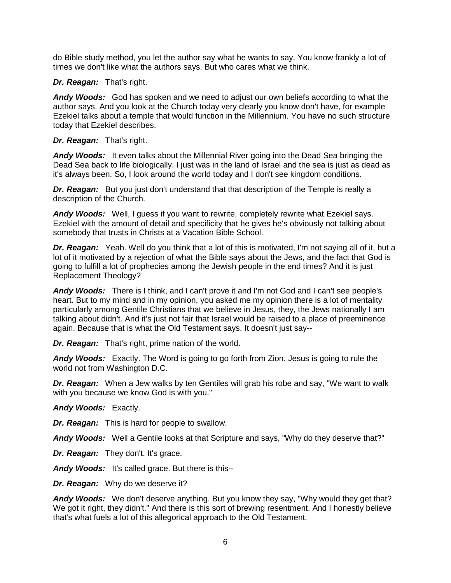do Bible study method, you let the author say what he wants to say. You know frankly a lot of times we don't like what the authors says. But who cares what we think.

#### *Dr. Reagan:* That's right.

*Andy Woods:* God has spoken and we need to adjust our own beliefs according to what the author says. And you look at the Church today very clearly you know don't have, for example Ezekiel talks about a temple that would function in the Millennium. You have no such structure today that Ezekiel describes.

#### *Dr. Reagan:* That's right.

*Andy Woods:* It even talks about the Millennial River going into the Dead Sea bringing the Dead Sea back to life biologically. I just was in the land of Israel and the sea is just as dead as it's always been. So, I look around the world today and I don't see kingdom conditions.

*Dr. Reagan:* But you just don't understand that that description of the Temple is really a description of the Church.

*Andy Woods:* Well, I guess if you want to rewrite, completely rewrite what Ezekiel says. Ezekiel with the amount of detail and specificity that he gives he's obviously not talking about somebody that trusts in Christs at a Vacation Bible School.

*Dr. Reagan:* Yeah. Well do you think that a lot of this is motivated, I'm not saying all of it, but a lot of it motivated by a rejection of what the Bible says about the Jews, and the fact that God is going to fulfill a lot of prophecies among the Jewish people in the end times? And it is just Replacement Theology?

*Andy Woods:* There is I think, and I can't prove it and I'm not God and I can't see people's heart. But to my mind and in my opinion, you asked me my opinion there is a lot of mentality particularly among Gentile Christians that we believe in Jesus, they, the Jews nationally I am talking about didn't. And it's just not fair that Israel would be raised to a place of preeminence again. Because that is what the Old Testament says. It doesn't just say--

*Dr. Reagan:* That's right, prime nation of the world.

*Andy Woods:* Exactly. The Word is going to go forth from Zion. Jesus is going to rule the world not from Washington D.C.

*Dr. Reagan:* When a Jew walks by ten Gentiles will grab his robe and say, "We want to walk with you because we know God is with you."

*Andy Woods:* Exactly.

*Dr. Reagan:* This is hard for people to swallow.

*Andy Woods:* Well a Gentile looks at that Scripture and says, "Why do they deserve that?"

**Dr. Reagan:** They don't. It's grace.

*Andy Woods:* It's called grace. But there is this--

*Dr. Reagan:* Why do we deserve it?

*Andy Woods:* We don't deserve anything. But you know they say, "Why would they get that? We got it right, they didn't." And there is this sort of brewing resentment. And I honestly believe that's what fuels a lot of this allegorical approach to the Old Testament.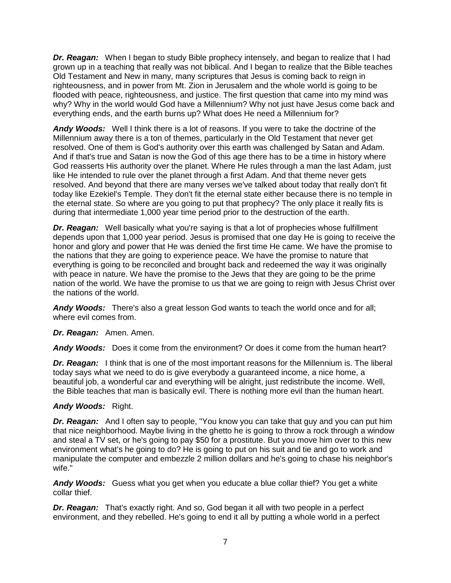*Dr. Reagan:* When I began to study Bible prophecy intensely, and began to realize that I had grown up in a teaching that really was not biblical. And I began to realize that the Bible teaches Old Testament and New in many, many scriptures that Jesus is coming back to reign in righteousness, and in power from Mt. Zion in Jerusalem and the whole world is going to be flooded with peace, righteousness, and justice. The first question that came into my mind was why? Why in the world would God have a Millennium? Why not just have Jesus come back and everything ends, and the earth burns up? What does He need a Millennium for?

*Andy Woods:* Well I think there is a lot of reasons. If you were to take the doctrine of the Millennium away there is a ton of themes, particularly in the Old Testament that never get resolved. One of them is God's authority over this earth was challenged by Satan and Adam. And if that's true and Satan is now the God of this age there has to be a time in history where God reasserts His authority over the planet. Where He rules through a man the last Adam, just like He intended to rule over the planet through a first Adam. And that theme never gets resolved. And beyond that there are many verses we've talked about today that really don't fit today like Ezekiel's Temple. They don't fit the eternal state either because there is no temple in the eternal state. So where are you going to put that prophecy? The only place it really fits is during that intermediate 1,000 year time period prior to the destruction of the earth.

*Dr. Reagan:* Well basically what you're saying is that a lot of prophecies whose fulfillment depends upon that 1,000 year period. Jesus is promised that one day He is going to receive the honor and glory and power that He was denied the first time He came. We have the promise to the nations that they are going to experience peace. We have the promise to nature that everything is going to be reconciled and brought back and redeemed the way it was originally with peace in nature. We have the promise to the Jews that they are going to be the prime nation of the world. We have the promise to us that we are going to reign with Jesus Christ over the nations of the world.

*Andy Woods:* There's also a great lesson God wants to teach the world once and for all; where evil comes from.

# *Dr. Reagan:* Amen. Amen.

*Andy Woods:* Does it come from the environment? Or does it come from the human heart?

*Dr. Reagan:* I think that is one of the most important reasons for the Millennium is. The liberal today says what we need to do is give everybody a guaranteed income, a nice home, a beautiful job, a wonderful car and everything will be alright, just redistribute the income. Well, the Bible teaches that man is basically evil. There is nothing more evil than the human heart.

#### *Andy Woods:* Right.

*Dr. Reagan:* And I often say to people, "You know you can take that guy and you can put him that nice neighborhood. Maybe living in the ghetto he is going to throw a rock through a window and steal a TV set, or he's going to pay \$50 for a prostitute. But you move him over to this new environment what's he going to do? He is going to put on his suit and tie and go to work and manipulate the computer and embezzle 2 million dollars and he's going to chase his neighbor's wife."

*Andy Woods:* Guess what you get when you educate a blue collar thief? You get a white collar thief.

*Dr. Reagan:* That's exactly right. And so, God began it all with two people in a perfect environment, and they rebelled. He's going to end it all by putting a whole world in a perfect